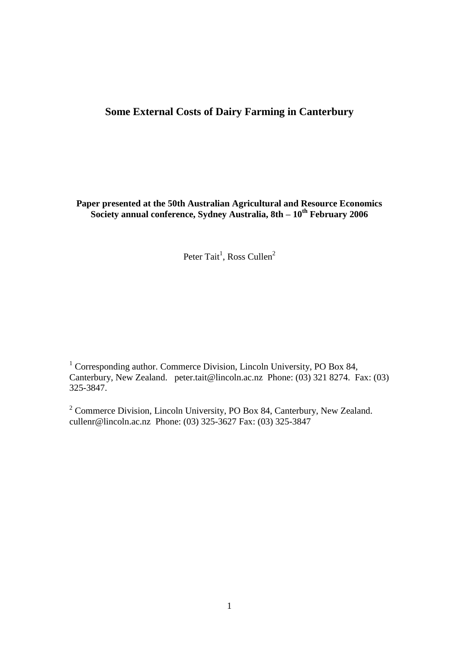# **Some External Costs of Dairy Farming in Canterbury**

**Paper presented at the 50th Australian Agricultural and Resource Economics Society annual conference, Sydney Australia, 8th – 10 th February 2006**

Peter Tait<sup>1</sup>, Ross Cullen<sup>2</sup>

<sup>1</sup> Corresponding author. Commerce Division, Lincoln University, PO Box 84, Canterbury, New Zealand. peter.tait@lincoln.ac.nz Phone: (03) 321 8274. Fax: (03) 325-3847.

<sup>2</sup> Commerce Division, Lincoln University, PO Box 84, Canterbury, New Zealand. cullenr@lincoln.ac.nz Phone: (03) 325-3627 Fax: (03) 325-3847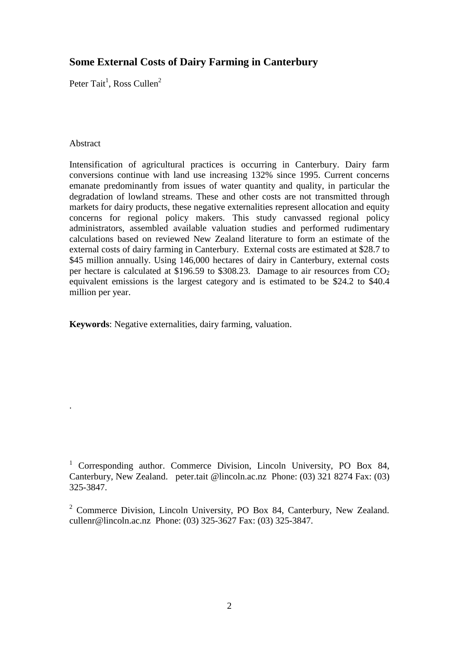# **Some External Costs of Dairy Farming in Canterbury**

Peter Tait<sup>1</sup>, Ross Cullen<sup>2</sup>

#### Abstract

.

Intensification of agricultural practices is occurring in Canterbury. Dairy farm conversions continue with land use increasing 132% since 1995. Current concerns emanate predominantly from issues of water quantity and quality, in particular the degradation of lowland streams. These and other costs are not transmitted through markets for dairy products, these negative externalities represent allocation and equity concerns for regional policy makers. This study canvassed regional policy administrators, assembled available valuation studies and performed rudimentary calculations based on reviewed New Zealand literature to form an estimate of the external costs of dairy farming in Canterbury. External costs are estimated at \$28.7 to \$45 million annually. Using 146,000 hectares of dairy in Canterbury, external costs per hectare is calculated at \$196.59 to \$308.23. Damage to air resources from  $CO<sub>2</sub>$ equivalent emissions is the largest category and is estimated to be \$24.2 to \$40.4 million per year.

**Keywords**: Negative externalities, dairy farming, valuation.

<sup>1</sup> Corresponding author. Commerce Division, Lincoln University, PO Box 84, Canterbury, New Zealand. peter.tait @lincoln.ac.nz Phone: (03) 321 8274 Fax: (03) 325-3847.

<sup>2</sup> Commerce Division, Lincoln University, PO Box 84, Canterbury, New Zealand. cullenr@lincoln.ac.nz Phone: (03) 325-3627 Fax: (03) 325-3847.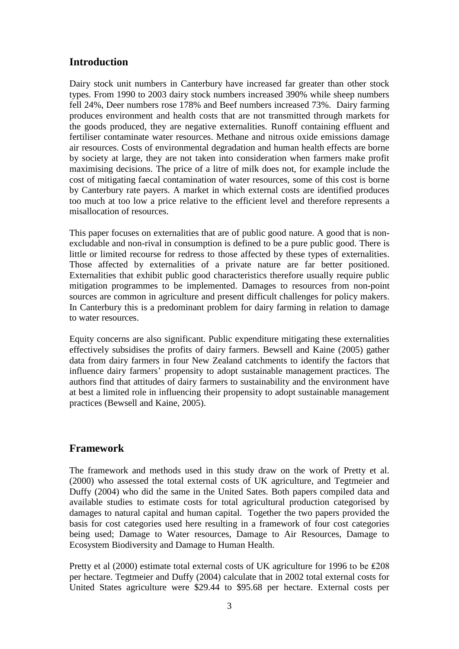## **Introduction**

Dairy stock unit numbers in Canterbury have increased far greater than other stock types. From 1990 to 2003 dairy stock numbers increased 390% while sheep numbers fell 24%, Deer numbers rose 178% and Beef numbers increased 73%. Dairy farming produces environment and health costs that are not transmitted through markets for the goods produced, they are negative externalities. Runoff containing effluent and fertiliser contaminate water resources. Methane and nitrous oxide emissions damage air resources. Costs of environmental degradation and human health effects are borne by society at large, they are not taken into consideration when farmers make profit maximising decisions. The price of a litre of milk does not, for example include the cost of mitigating faecal contamination of water resources, some of this cost is borne by Canterbury rate payers. A market in which external costs are identified produces too much at too low a price relative to the efficient level and therefore represents a misallocation of resources.

This paper focuses on externalities that are of public good nature. A good that is nonexcludable and non-rival in consumption is defined to be a pure public good. There is little or limited recourse for redress to those affected by these types of externalities. Those affected by externalities of a private nature are far better positioned. Externalities that exhibit public good characteristics therefore usually require public mitigation programmes to be implemented. Damages to resources from non-point sources are common in agriculture and present difficult challenges for policy makers. In Canterbury this is a predominant problem for dairy farming in relation to damage to water resources.

Equity concerns are also significant. Public expenditure mitigating these externalities effectively subsidises the profits of dairy farmers. Bewsell and Kaine (2005) gather data from dairy farmers in four New Zealand catchments to identify the factors that influence dairy farmers" propensity to adopt sustainable management practices. The authors find that attitudes of dairy farmers to sustainability and the environment have at best a limited role in influencing their propensity to adopt sustainable management practices (Bewsell and Kaine, 2005).

## **Framework**

The framework and methods used in this study draw on the work of Pretty et al. (2000) who assessed the total external costs of UK agriculture, and Tegtmeier and Duffy (2004) who did the same in the United Sates. Both papers compiled data and available studies to estimate costs for total agricultural production categorised by damages to natural capital and human capital. Together the two papers provided the basis for cost categories used here resulting in a framework of four cost categories being used; Damage to Water resources, Damage to Air Resources, Damage to Ecosystem Biodiversity and Damage to Human Health.

Pretty et al (2000) estimate total external costs of UK agriculture for 1996 to be £208 per hectare. Tegtmeier and Duffy (2004) calculate that in 2002 total external costs for United States agriculture were \$29.44 to \$95.68 per hectare. External costs per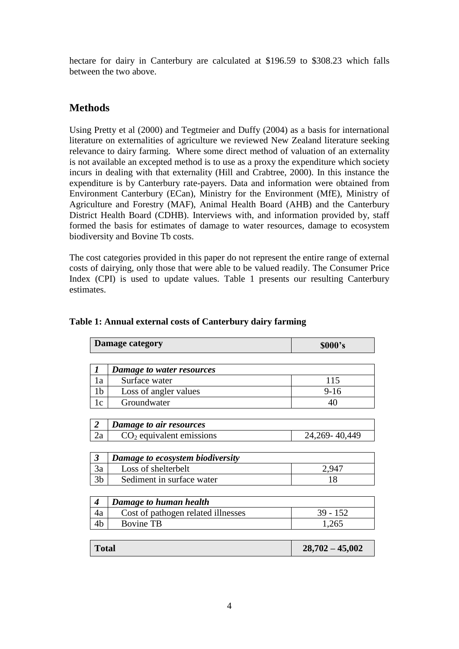hectare for dairy in Canterbury are calculated at \$196.59 to \$308.23 which falls between the two above.

# **Methods**

Using Pretty et al (2000) and Tegtmeier and Duffy (2004) as a basis for international literature on externalities of agriculture we reviewed New Zealand literature seeking relevance to dairy farming. Where some direct method of valuation of an externality is not available an excepted method is to use as a proxy the expenditure which society incurs in dealing with that externality (Hill and Crabtree, 2000). In this instance the expenditure is by Canterbury rate-payers. Data and information were obtained from Environment Canterbury (ECan), Ministry for the Environment (MfE), Ministry of Agriculture and Forestry (MAF), Animal Health Board (AHB) and the Canterbury District Health Board (CDHB). Interviews with, and information provided by, staff formed the basis for estimates of damage to water resources, damage to ecosystem biodiversity and Bovine Tb costs.

The cost categories provided in this paper do not represent the entire range of external costs of dairying, only those that were able to be valued readily. The Consumer Price Index (CPI) is used to update values. Table 1 presents our resulting Canterbury estimates.

|                      | <b>Damage category</b>             | \$000's           |
|----------------------|------------------------------------|-------------------|
|                      |                                    |                   |
| 1                    | Damage to water resources          |                   |
| 1a                   | Surface water                      | 115               |
| 1b                   | Loss of angler values              | $9-16$            |
| 1c                   | Groundwater                        | 40                |
|                      |                                    |                   |
| 2                    | Damage to air resources            |                   |
| 2a                   | $CO2$ equivalent emissions         | 24, 269 - 40, 449 |
|                      |                                    |                   |
| $\boldsymbol{\beta}$ | Damage to ecosystem biodiversity   |                   |
| 3a                   | Loss of shelterbelt                | 2,947             |
| 3 <sub>b</sub>       | Sediment in surface water          | 18                |
|                      |                                    |                   |
| 4                    | Damage to human health             |                   |
| 4a                   | Cost of pathogen related illnesses | $39 - 152$        |
| 4b                   | <b>Bovine TB</b>                   | 1,265             |
|                      |                                    |                   |

### **Table 1: Annual external costs of Canterbury dairy farming**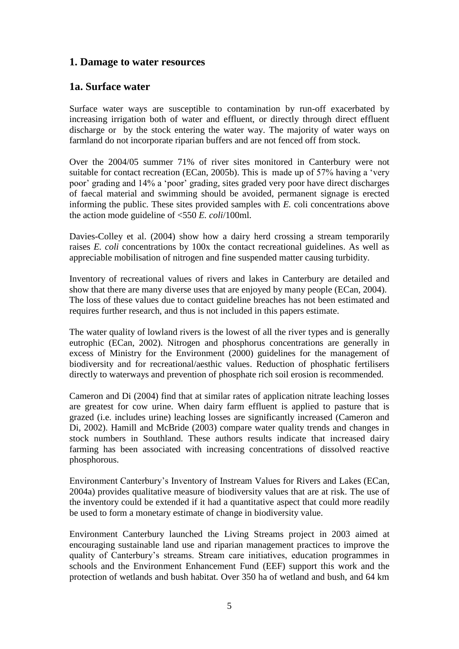### **1. Damage to water resources**

### **1a. Surface water**

Surface water ways are susceptible to contamination by run-off exacerbated by increasing irrigation both of water and effluent, or directly through direct effluent discharge or by the stock entering the water way. The majority of water ways on farmland do not incorporate riparian buffers and are not fenced off from stock.

Over the 2004/05 summer 71% of river sites monitored in Canterbury were not suitable for contact recreation (ECan, 2005b). This is made up of 57% having a 'very poor" grading and 14% a "poor" grading, sites graded very poor have direct discharges of faecal material and swimming should be avoided, permanent signage is erected informing the public. These sites provided samples with *E.* coli concentrations above the action mode guideline of <550 *E. coli*/100ml.

Davies-Colley et al. (2004) show how a dairy herd crossing a stream temporarily raises *E. coli* concentrations by 100x the contact recreational guidelines. As well as appreciable mobilisation of nitrogen and fine suspended matter causing turbidity.

Inventory of recreational values of rivers and lakes in Canterbury are detailed and show that there are many diverse uses that are enjoyed by many people (ECan, 2004). The loss of these values due to contact guideline breaches has not been estimated and requires further research, and thus is not included in this papers estimate.

The water quality of lowland rivers is the lowest of all the river types and is generally eutrophic (ECan, 2002). Nitrogen and phosphorus concentrations are generally in excess of Ministry for the Environment (2000) guidelines for the management of biodiversity and for recreational/aesthic values. Reduction of phosphatic fertilisers directly to waterways and prevention of phosphate rich soil erosion is recommended.

Cameron and Di (2004) find that at similar rates of application nitrate leaching losses are greatest for cow urine. When dairy farm effluent is applied to pasture that is grazed (i.e. includes urine) leaching losses are significantly increased (Cameron and Di, 2002). Hamill and McBride (2003) compare water quality trends and changes in stock numbers in Southland. These authors results indicate that increased dairy farming has been associated with increasing concentrations of dissolved reactive phosphorous.

Environment Canterbury"s Inventory of Instream Values for Rivers and Lakes (ECan, 2004a) provides qualitative measure of biodiversity values that are at risk. The use of the inventory could be extended if it had a quantitative aspect that could more readily be used to form a monetary estimate of change in biodiversity value.

Environment Canterbury launched the Living Streams project in 2003 aimed at encouraging sustainable land use and riparian management practices to improve the quality of Canterbury"s streams. Stream care initiatives, education programmes in schools and the Environment Enhancement Fund (EEF) support this work and the protection of wetlands and bush habitat. Over 350 ha of wetland and bush, and 64 km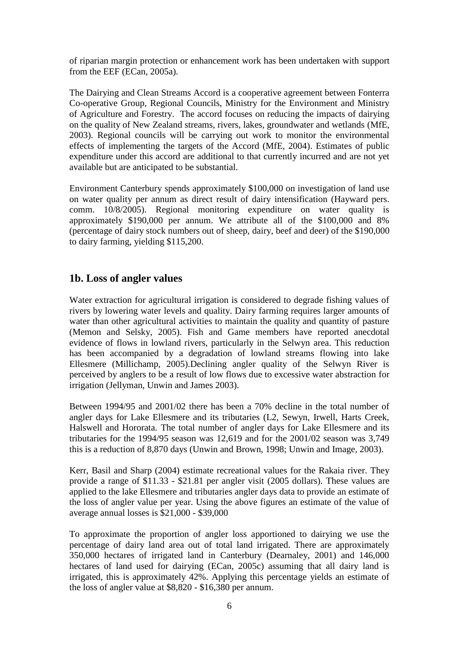of riparian margin protection or enhancement work has been undertaken with support from the EEF (ECan, 2005a).

The Dairying and Clean Streams Accord is a cooperative agreement between Fonterra Co-operative Group, Regional Councils, Ministry for the Environment and Ministry of Agriculture and Forestry. The accord focuses on reducing the impacts of dairying on the quality of New Zealand streams, rivers, lakes, groundwater and wetlands (MfE, 2003). Regional councils will be carrying out work to monitor the environmental effects of implementing the targets of the Accord (MfE, 2004). Estimates of public expenditure under this accord are additional to that currently incurred and are not yet available but are anticipated to be substantial.

Environment Canterbury spends approximately \$100,000 on investigation of land use on water quality per annum as direct result of dairy intensification (Hayward pers. comm. 10/8/2005). Regional monitoring expenditure on water quality is approximately \$190,000 per annum. We attribute all of the \$100,000 and 8% (percentage of dairy stock numbers out of sheep, dairy, beef and deer) of the \$190,000 to dairy farming, yielding \$115,200.

## **1b. Loss of angler values**

Water extraction for agricultural irrigation is considered to degrade fishing values of rivers by lowering water levels and quality. Dairy farming requires larger amounts of water than other agricultural activities to maintain the quality and quantity of pasture (Memon and Selsky, 2005). Fish and Game members have reported anecdotal evidence of flows in lowland rivers, particularly in the Selwyn area. This reduction has been accompanied by a degradation of lowland streams flowing into lake Ellesmere (Millichamp, 2005).Declining angler quality of the Selwyn River is perceived by anglers to be a result of low flows due to excessive water abstraction for irrigation (Jellyman, Unwin and James 2003).

Between 1994/95 and 2001/02 there has been a 70% decline in the total number of angler days for Lake Ellesmere and its tributaries (L2, Sewyn, Irwell, Harts Creek, Halswell and Hororata. The total number of angler days for Lake Ellesmere and its tributaries for the 1994/95 season was 12,619 and for the 2001/02 season was 3,749 this is a reduction of 8,870 days (Unwin and Brown, 1998; Unwin and Image, 2003).

Kerr, Basil and Sharp (2004) estimate recreational values for the Rakaia river. They provide a range of \$11.33 - \$21.81 per angler visit (2005 dollars). These values are applied to the lake Ellesmere and tributaries angler days data to provide an estimate of the loss of angler value per year. Using the above figures an estimate of the value of average annual losses is \$21,000 - \$39,000

To approximate the proportion of angler loss apportioned to dairying we use the percentage of dairy land area out of total land irrigated. There are approximately 350,000 hectares of irrigated land in Canterbury (Dearnaley, 2001) and 146,000 hectares of land used for dairying (ECan, 2005c) assuming that all dairy land is irrigated, this is approximately 42%. Applying this percentage yields an estimate of the loss of angler value at \$8,820 - \$16,380 per annum.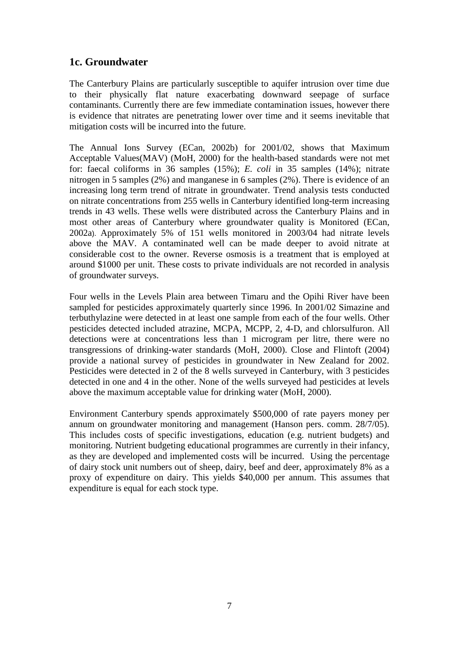# **1c. Groundwater**

The Canterbury Plains are particularly susceptible to aquifer intrusion over time due to their physically flat nature exacerbating downward seepage of surface contaminants. Currently there are few immediate contamination issues, however there is evidence that nitrates are penetrating lower over time and it seems inevitable that mitigation costs will be incurred into the future.

The Annual Ions Survey (ECan, 2002b) for 2001/02, shows that Maximum Acceptable Values(MAV) (MoH, 2000) for the health-based standards were not met for: faecal coliforms in 36 samples (15%); *E. coli* in 35 samples (14%); nitrate nitrogen in 5 samples (2%) and manganese in 6 samples (2%). There is evidence of an increasing long term trend of nitrate in groundwater. Trend analysis tests conducted on nitrate concentrations from 255 wells in Canterbury identified long-term increasing trends in 43 wells. These wells were distributed across the Canterbury Plains and in most other areas of Canterbury where groundwater quality is Monitored (ECan, 2002a). Approximately 5% of 151 wells monitored in 2003/04 had nitrate levels above the MAV. A contaminated well can be made deeper to avoid nitrate at considerable cost to the owner. Reverse osmosis is a treatment that is employed at around \$1000 per unit. These costs to private individuals are not recorded in analysis of groundwater surveys.

Four wells in the Levels Plain area between Timaru and the Opihi River have been sampled for pesticides approximately quarterly since 1996. In 2001/02 Simazine and terbuthylazine were detected in at least one sample from each of the four wells. Other pesticides detected included atrazine, MCPA, MCPP, 2, 4-D, and chlorsulfuron. All detections were at concentrations less than 1 microgram per litre, there were no transgressions of drinking-water standards (MoH, 2000). Close and Flintoft (2004) provide a national survey of pesticides in groundwater in New Zealand for 2002. Pesticides were detected in 2 of the 8 wells surveyed in Canterbury, with 3 pesticides detected in one and 4 in the other. None of the wells surveyed had pesticides at levels above the maximum acceptable value for drinking water (MoH, 2000).

Environment Canterbury spends approximately \$500,000 of rate payers money per annum on groundwater monitoring and management (Hanson pers. comm. 28/7/05). This includes costs of specific investigations, education (e.g. nutrient budgets) and monitoring. Nutrient budgeting educational programmes are currently in their infancy, as they are developed and implemented costs will be incurred. Using the percentage of dairy stock unit numbers out of sheep, dairy, beef and deer, approximately 8% as a proxy of expenditure on dairy. This yields \$40,000 per annum. This assumes that expenditure is equal for each stock type.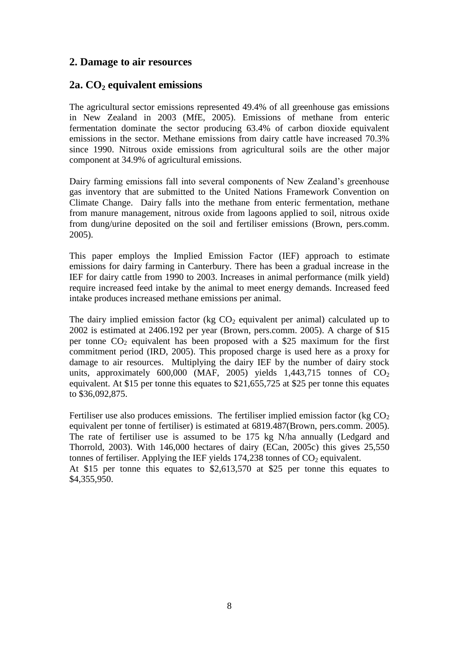## **2. Damage to air resources**

## **2a. CO2 equivalent emissions**

The agricultural sector emissions represented 49.4% of all greenhouse gas emissions in New Zealand in 2003 (MfE, 2005). Emissions of methane from enteric fermentation dominate the sector producing 63.4% of carbon dioxide equivalent emissions in the sector. Methane emissions from dairy cattle have increased 70.3% since 1990. Nitrous oxide emissions from agricultural soils are the other major component at 34.9% of agricultural emissions.

Dairy farming emissions fall into several components of New Zealand's greenhouse gas inventory that are submitted to the United Nations Framework Convention on Climate Change. Dairy falls into the methane from enteric fermentation, methane from manure management, nitrous oxide from lagoons applied to soil, nitrous oxide from dung/urine deposited on the soil and fertiliser emissions (Brown, pers.comm. 2005).

This paper employs the Implied Emission Factor (IEF) approach to estimate emissions for dairy farming in Canterbury. There has been a gradual increase in the IEF for dairy cattle from 1990 to 2003. Increases in animal performance (milk yield) require increased feed intake by the animal to meet energy demands. Increased feed intake produces increased methane emissions per animal.

The dairy implied emission factor (kg  $CO<sub>2</sub>$  equivalent per animal) calculated up to 2002 is estimated at 2406.192 per year (Brown, pers.comm. 2005). A charge of \$15 per tonne  $CO<sub>2</sub>$  equivalent has been proposed with a \$25 maximum for the first commitment period (IRD, 2005). This proposed charge is used here as a proxy for damage to air resources. Multiplying the dairy IEF by the number of dairy stock units, approximately  $600,000$  (MAF, 2005) yields  $1,443,715$  tonnes of  $CO<sub>2</sub>$ equivalent. At \$15 per tonne this equates to \$21,655,725 at \$25 per tonne this equates to \$36,092,875.

Fertiliser use also produces emissions. The fertiliser implied emission factor (kg  $CO<sub>2</sub>$ ) equivalent per tonne of fertiliser) is estimated at 6819.487(Brown, pers.comm. 2005). The rate of fertiliser use is assumed to be 175 kg N/ha annually (Ledgard and Thorrold, 2003). With 146,000 hectares of dairy (ECan, 2005c) this gives 25,550 tonnes of fertiliser. Applying the IEF yields  $174,238$  tonnes of  $CO<sub>2</sub>$  equivalent. At \$15 per tonne this equates to \$2,613,570 at \$25 per tonne this equates to \$4,355,950.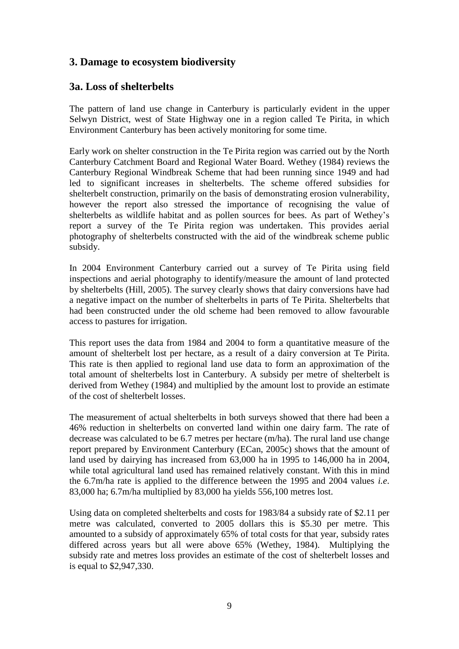# **3. Damage to ecosystem biodiversity**

# **3a. Loss of shelterbelts**

The pattern of land use change in Canterbury is particularly evident in the upper Selwyn District, west of State Highway one in a region called Te Pirita, in which Environment Canterbury has been actively monitoring for some time.

Early work on shelter construction in the Te Pirita region was carried out by the North Canterbury Catchment Board and Regional Water Board. Wethey (1984) reviews the Canterbury Regional Windbreak Scheme that had been running since 1949 and had led to significant increases in shelterbelts. The scheme offered subsidies for shelterbelt construction, primarily on the basis of demonstrating erosion vulnerability, however the report also stressed the importance of recognising the value of shelterbelts as wildlife habitat and as pollen sources for bees. As part of Wethey"s report a survey of the Te Pirita region was undertaken. This provides aerial photography of shelterbelts constructed with the aid of the windbreak scheme public subsidy.

In 2004 Environment Canterbury carried out a survey of Te Pirita using field inspections and aerial photography to identify/measure the amount of land protected by shelterbelts (Hill, 2005). The survey clearly shows that dairy conversions have had a negative impact on the number of shelterbelts in parts of Te Pirita. Shelterbelts that had been constructed under the old scheme had been removed to allow favourable access to pastures for irrigation.

This report uses the data from 1984 and 2004 to form a quantitative measure of the amount of shelterbelt lost per hectare, as a result of a dairy conversion at Te Pirita. This rate is then applied to regional land use data to form an approximation of the total amount of shelterbelts lost in Canterbury. A subsidy per metre of shelterbelt is derived from Wethey (1984) and multiplied by the amount lost to provide an estimate of the cost of shelterbelt losses.

The measurement of actual shelterbelts in both surveys showed that there had been a 46% reduction in shelterbelts on converted land within one dairy farm. The rate of decrease was calculated to be 6.7 metres per hectare (m/ha). The rural land use change report prepared by Environment Canterbury (ECan, 2005c) shows that the amount of land used by dairying has increased from 63,000 ha in 1995 to 146,000 ha in 2004, while total agricultural land used has remained relatively constant. With this in mind the 6.7m/ha rate is applied to the difference between the 1995 and 2004 values *i.e*. 83,000 ha; 6.7m/ha multiplied by 83,000 ha yields 556,100 metres lost.

Using data on completed shelterbelts and costs for 1983/84 a subsidy rate of \$2.11 per metre was calculated, converted to 2005 dollars this is \$5.30 per metre. This amounted to a subsidy of approximately 65% of total costs for that year, subsidy rates differed across years but all were above 65% (Wethey, 1984). Multiplying the subsidy rate and metres loss provides an estimate of the cost of shelterbelt losses and is equal to \$2,947,330.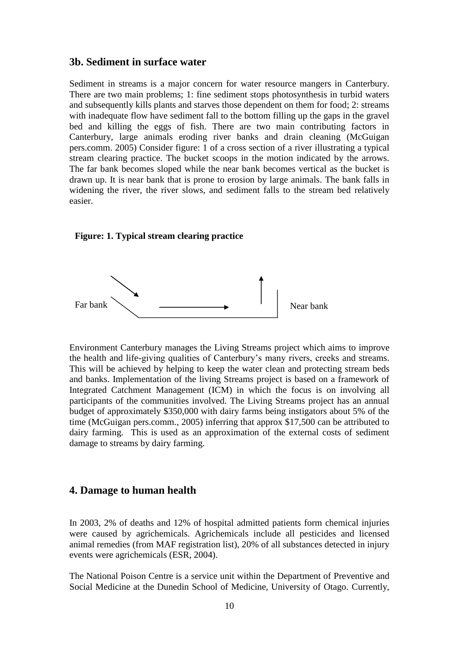#### **3b. Sediment in surface water**

Sediment in streams is a major concern for water resource mangers in Canterbury. There are two main problems; 1: fine sediment stops photosynthesis in turbid waters and subsequently kills plants and starves those dependent on them for food; 2: streams with inadequate flow have sediment fall to the bottom filling up the gaps in the gravel bed and killing the eggs of fish. There are two main contributing factors in Canterbury, large animals eroding river banks and drain cleaning (McGuigan pers.comm. 2005) Consider figure: 1 of a cross section of a river illustrating a typical stream clearing practice. The bucket scoops in the motion indicated by the arrows. The far bank becomes sloped while the near bank becomes vertical as the bucket is drawn up. It is near bank that is prone to erosion by large animals. The bank falls in widening the river, the river slows, and sediment falls to the stream bed relatively easier.

#### **Figure: 1. Typical stream clearing practice**



Environment Canterbury manages the Living Streams project which aims to improve the health and life-giving qualities of Canterbury"s many rivers, creeks and streams. This will be achieved by helping to keep the water clean and protecting stream beds and banks. Implementation of the living Streams project is based on a framework of Integrated Catchment Management (ICM) in which the focus is on involving all participants of the communities involved. The Living Streams project has an annual budget of approximately \$350,000 with dairy farms being instigators about 5% of the time (McGuigan pers.comm., 2005) inferring that approx \$17,500 can be attributed to dairy farming. This is used as an approximation of the external costs of sediment damage to streams by dairy farming.

#### **4. Damage to human health**

In 2003, 2% of deaths and 12% of hospital admitted patients form chemical injuries were caused by agrichemicals. Agrichemicals include all pesticides and licensed animal remedies (from MAF registration list), 20% of all substances detected in injury events were agrichemicals (ESR, 2004).

The National Poison Centre is a service unit within the Department of Preventive and Social Medicine at the Dunedin School of Medicine, University of Otago. Currently,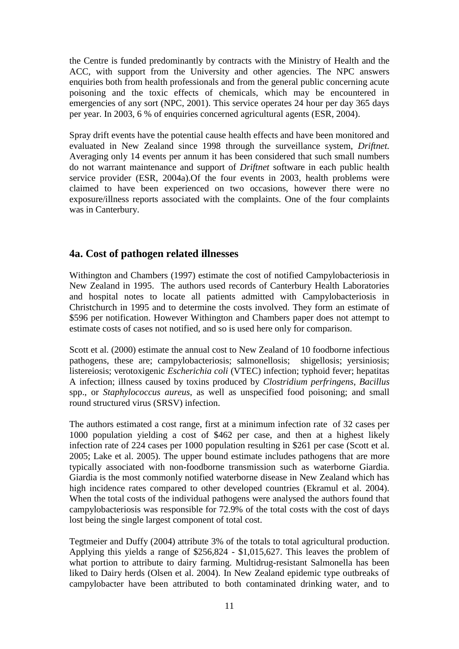the Centre is funded predominantly by contracts with the Ministry of Health and the ACC, with support from the University and other agencies. The NPC answers enquiries both from health professionals and from the general public concerning acute poisoning and the toxic effects of chemicals, which may be encountered in emergencies of any sort (NPC, 2001). This service operates 24 hour per day 365 days per year. In 2003, 6 % of enquiries concerned agricultural agents (ESR, 2004).

Spray drift events have the potential cause health effects and have been monitored and evaluated in New Zealand since 1998 through the surveillance system, *Driftnet.* Averaging only 14 events per annum it has been considered that such small numbers do not warrant maintenance and support of *Driftnet* software in each public health service provider (ESR, 2004a).Of the four events in 2003, health problems were claimed to have been experienced on two occasions, however there were no exposure/illness reports associated with the complaints. One of the four complaints was in Canterbury.

## **4a. Cost of pathogen related illnesses**

Withington and Chambers (1997) estimate the cost of notified Campylobacteriosis in New Zealand in 1995. The authors used records of Canterbury Health Laboratories and hospital notes to locate all patients admitted with Campylobacteriosis in Christchurch in 1995 and to determine the costs involved. They form an estimate of \$596 per notification. However Withington and Chambers paper does not attempt to estimate costs of cases not notified, and so is used here only for comparison.

Scott et al. (2000) estimate the annual cost to New Zealand of 10 foodborne infectious pathogens, these are; campylobacteriosis; salmonellosis; shigellosis; yersiniosis; listereiosis; verotoxigenic *Escherichia coli* (VTEC) infection; typhoid fever; hepatitas A infection; illness caused by toxins produced by *Clostridium perfringens*, *Bacillus*  spp., or *Staphylococcus aureus*, as well as unspecified food poisoning; and small round structured virus (SRSV) infection.

The authors estimated a cost range, first at a minimum infection rate of 32 cases per 1000 population yielding a cost of \$462 per case, and then at a highest likely infection rate of 224 cases per 1000 population resulting in \$261 per case (Scott et al. 2005; Lake et al. 2005). The upper bound estimate includes pathogens that are more typically associated with non-foodborne transmission such as waterborne Giardia. Giardia is the most commonly notified waterborne disease in New Zealand which has high incidence rates compared to other developed countries (Ekramul et al. 2004). When the total costs of the individual pathogens were analysed the authors found that campylobacteriosis was responsible for 72.9% of the total costs with the cost of days lost being the single largest component of total cost.

Tegtmeier and Duffy (2004) attribute 3% of the totals to total agricultural production. Applying this yields a range of \$256,824 - \$1,015,627. This leaves the problem of what portion to attribute to dairy farming. Multidrug-resistant Salmonella has been liked to Dairy herds (Olsen et al. 2004). In New Zealand epidemic type outbreaks of campylobacter have been attributed to both contaminated drinking water, and to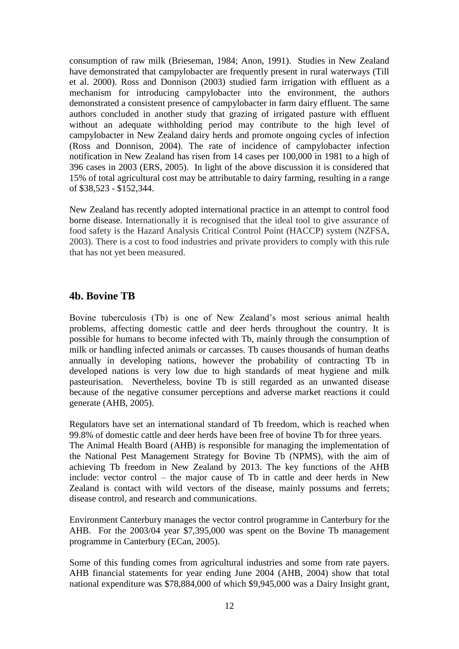consumption of raw milk (Brieseman, 1984; Anon, 1991). Studies in New Zealand have demonstrated that campylobacter are frequently present in rural waterways (Till et al. 2000). Ross and Donnison (2003) studied farm irrigation with effluent as a mechanism for introducing campylobacter into the environment, the authors demonstrated a consistent presence of campylobacter in farm dairy effluent. The same authors concluded in another study that grazing of irrigated pasture with effluent without an adequate withholding period may contribute to the high level of campylobacter in New Zealand dairy herds and promote ongoing cycles of infection (Ross and Donnison, 2004). The rate of incidence of campylobacter infection notification in New Zealand has risen from 14 cases per 100,000 in 1981 to a high of 396 cases in 2003 (ERS, 2005). In light of the above discussion it is considered that 15% of total agricultural cost may be attributable to dairy farming, resulting in a range of \$38,523 - \$152,344.

New Zealand has recently adopted international practice in an attempt to control food borne disease. Internationally it is recognised that the ideal tool to give assurance of food safety is the Hazard Analysis Critical Control Point (HACCP) system (NZFSA, 2003). There is a cost to food industries and private providers to comply with this rule that has not yet been measured.

### **4b. Bovine TB**

Bovine tuberculosis (Tb) is one of New Zealand"s most serious animal health problems, affecting domestic cattle and deer herds throughout the country. It is possible for humans to become infected with Tb, mainly through the consumption of milk or handling infected animals or carcasses. Tb causes thousands of human deaths annually in developing nations, however the probability of contracting Tb in developed nations is very low due to high standards of meat hygiene and milk pasteurisation. Nevertheless, bovine Tb is still regarded as an unwanted disease because of the negative consumer perceptions and adverse market reactions it could generate (AHB, 2005).

Regulators have set an international standard of Tb freedom, which is reached when 99.8% of domestic cattle and deer herds have been free of bovine Tb for three years. The Animal Health Board (AHB) is responsible for managing the implementation of

the National Pest Management Strategy for Bovine Tb (NPMS), with the aim of achieving Tb freedom in New Zealand by 2013. The key functions of the AHB include: vector control – the major cause of Tb in cattle and deer herds in New Zealand is contact with wild vectors of the disease, mainly possums and ferrets; disease control, and research and communications.

Environment Canterbury manages the vector control programme in Canterbury for the AHB. For the 2003/04 year \$7,395,000 was spent on the Bovine Tb management programme in Canterbury (ECan, 2005).

Some of this funding comes from agricultural industries and some from rate payers. AHB financial statements for year ending June 2004 (AHB, 2004) show that total national expenditure was \$78,884,000 of which \$9,945,000 was a Dairy Insight grant,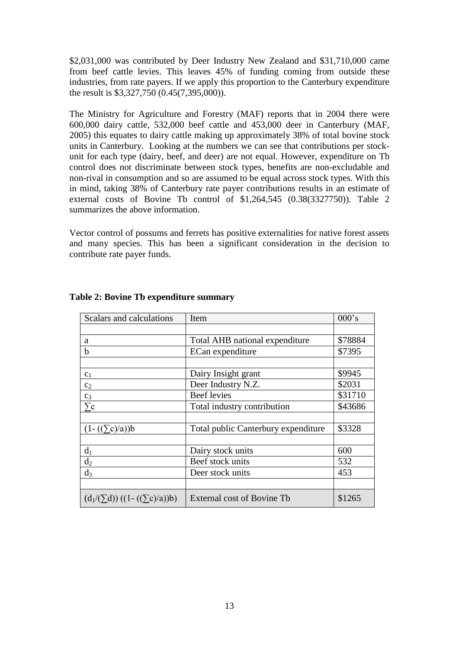\$2,031,000 was contributed by Deer Industry New Zealand and \$31,710,000 came from beef cattle levies. This leaves 45% of funding coming from outside these industries, from rate payers. If we apply this proportion to the Canterbury expenditure the result is \$3,327,750 (0.45(7,395,000)).

The Ministry for Agriculture and Forestry (MAF) reports that in 2004 there were 600,000 dairy cattle, 532,000 beef cattle and 453,000 deer in Canterbury (MAF, 2005) this equates to dairy cattle making up approximately 38% of total bovine stock units in Canterbury. Looking at the numbers we can see that contributions per stockunit for each type (dairy, beef, and deer) are not equal. However, expenditure on Tb control does not discriminate between stock types, benefits are non-excludable and non-rival in consumption and so are assumed to be equal across stock types. With this in mind, taking 38% of Canterbury rate payer contributions results in an estimate of external costs of Bovine Tb control of \$1,264,545 (0.38(3327750)). Table 2 summarizes the above information.

Vector control of possums and ferrets has positive externalities for native forest assets and many species. This has been a significant consideration in the decision to contribute rate payer funds.

| Scalars and calculations               | Item                                | $000$ 's |
|----------------------------------------|-------------------------------------|----------|
|                                        |                                     |          |
| a                                      | Total AHB national expenditure      | \$78884  |
| b                                      | ECan expenditure                    |          |
|                                        |                                     |          |
| c <sub>1</sub>                         | Dairy Insight grant                 | \$9945   |
| c <sub>2</sub>                         | Deer Industry N.Z.                  | \$2031   |
| $C_3$                                  | <b>Beef</b> levies                  | \$31710  |
|                                        | Total industry contribution         | \$43686  |
|                                        |                                     |          |
| $(1 - ((\sum c)/a))b$                  | Total public Canterbury expenditure | \$3328   |
|                                        |                                     |          |
| $d_1$                                  | Dairy stock units                   | 600      |
| d <sub>2</sub>                         | Beef stock units                    | 532      |
| $d_3$                                  | Deer stock units                    | 453      |
|                                        |                                     |          |
| $(d_1/(\sum d)) ((1 - ((\sum c)/a))b)$ | External cost of Bovine Tb          | \$1265   |

#### **Table 2: Bovine Tb expenditure summary**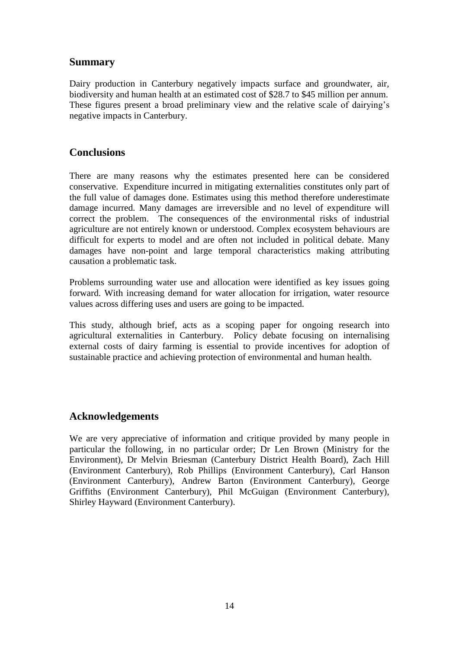### **Summary**

Dairy production in Canterbury negatively impacts surface and groundwater, air, biodiversity and human health at an estimated cost of \$28.7 to \$45 million per annum. These figures present a broad preliminary view and the relative scale of dairying"s negative impacts in Canterbury.

## **Conclusions**

There are many reasons why the estimates presented here can be considered conservative. Expenditure incurred in mitigating externalities constitutes only part of the full value of damages done. Estimates using this method therefore underestimate damage incurred. Many damages are irreversible and no level of expenditure will correct the problem. The consequences of the environmental risks of industrial agriculture are not entirely known or understood. Complex ecosystem behaviours are difficult for experts to model and are often not included in political debate. Many damages have non-point and large temporal characteristics making attributing causation a problematic task.

Problems surrounding water use and allocation were identified as key issues going forward. With increasing demand for water allocation for irrigation, water resource values across differing uses and users are going to be impacted.

This study, although brief, acts as a scoping paper for ongoing research into agricultural externalities in Canterbury. Policy debate focusing on internalising external costs of dairy farming is essential to provide incentives for adoption of sustainable practice and achieving protection of environmental and human health.

## **Acknowledgements**

We are very appreciative of information and critique provided by many people in particular the following, in no particular order; Dr Len Brown (Ministry for the Environment), Dr Melvin Briesman (Canterbury District Health Board), Zach Hill (Environment Canterbury), Rob Phillips (Environment Canterbury), Carl Hanson (Environment Canterbury), Andrew Barton (Environment Canterbury), George Griffiths (Environment Canterbury), Phil McGuigan (Environment Canterbury), Shirley Hayward (Environment Canterbury).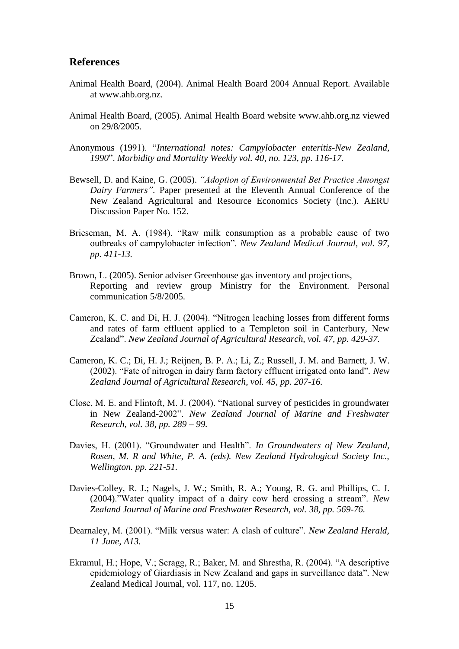#### **References**

- Animal Health Board, (2004). Animal Health Board 2004 Annual Report. Available at www.ahb.org.nz.
- Animal Health Board, (2005). Animal Health Board website www.ahb.org.nz viewed on 29/8/2005.
- Anonymous (1991). "*International notes: Campylobacter enteritis-New Zealand, 1990*". *Morbidity and Mortality Weekly vol. 40, no. 123, pp. 116-17.*
- Bewsell, D. and Kaine, G. (2005). *"Adoption of Environmental Bet Practice Amongst Dairy Farmers".* Paper presented at the Eleventh Annual Conference of the New Zealand Agricultural and Resource Economics Society (Inc.). AERU Discussion Paper No. 152.
- Brieseman, M. A. (1984). "Raw milk consumption as a probable cause of two outbreaks of campylobacter infection". *New Zealand Medical Journal, vol. 97, pp. 411-13.*
- Brown, L. (2005). Senior adviser Greenhouse gas inventory and projections, Reporting and review group Ministry for the Environment. Personal communication 5/8/2005.
- Cameron, K. C. and Di, H. J. (2004). "Nitrogen leaching losses from different forms and rates of farm effluent applied to a Templeton soil in Canterbury, New Zealand". *New Zealand Journal of Agricultural Research, vol. 47, pp. 429-37.*
- Cameron, K. C.; Di, H. J.; Reijnen, B. P. A.; Li, Z.; Russell, J. M. and Barnett, J. W. (2002). "Fate of nitrogen in dairy farm factory effluent irrigated onto land". *New Zealand Journal of Agricultural Research, vol. 45, pp. 207-16.*
- Close, M. E. and Flintoft, M. J. (2004). "National survey of pesticides in groundwater in New Zealand-2002". *New Zealand Journal of Marine and Freshwater Research, vol. 38, pp. 289 – 99.*
- Davies, H. (2001). "Groundwater and Health". *In Groundwaters of New Zealand, Rosen, M. R and White, P. A. (eds). New Zealand Hydrological Society Inc., Wellington. pp. 221-51.*
- Davies-Colley, R. J.; Nagels, J. W.; Smith, R. A.; Young, R. G. and Phillips, C. J. (2004)."Water quality impact of a dairy cow herd crossing a stream". *New Zealand Journal of Marine and Freshwater Research, vol. 38, pp. 569-76.*
- Dearnaley, M. (2001). "Milk versus water: A clash of culture". *New Zealand Herald, 11 June, A13.*
- Ekramul, H.; Hope, V.; Scragg, R.; Baker, M. and Shrestha, R. (2004). "A descriptive epidemiology of Giardiasis in New Zealand and gaps in surveillance data". New Zealand Medical Journal, vol. 117, no. 1205.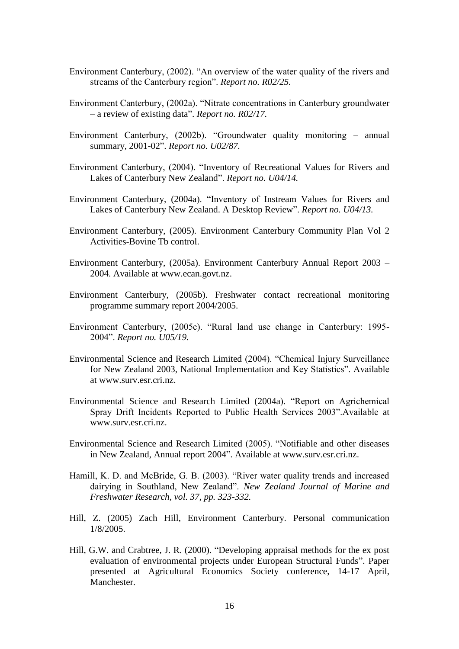- Environment Canterbury, (2002). "An overview of the water quality of the rivers and streams of the Canterbury region". *Report no. R02/25.*
- Environment Canterbury, (2002a). "Nitrate concentrations in Canterbury groundwater – a review of existing data". *Report no. R02/17.*
- Environment Canterbury, (2002b). "Groundwater quality monitoring annual summary, 2001-02". *Report no. U02/87.*
- Environment Canterbury, (2004). "Inventory of Recreational Values for Rivers and Lakes of Canterbury New Zealand". *Report no. U04/14.*
- Environment Canterbury, (2004a). "Inventory of Instream Values for Rivers and Lakes of Canterbury New Zealand. A Desktop Review". *Report no. U04/13.*
- Environment Canterbury, (2005). Environment Canterbury Community Plan Vol 2 Activities-Bovine Tb control.
- Environment Canterbury, (2005a). Environment Canterbury Annual Report 2003 2004. Available at www.ecan.govt.nz.
- Environment Canterbury, (2005b). Freshwater contact recreational monitoring programme summary report 2004/2005.
- Environment Canterbury, (2005c). "Rural land use change in Canterbury: 1995- 2004". *Report no. U05/19.*
- Environmental Science and Research Limited (2004). "Chemical Injury Surveillance for New Zealand 2003, National Implementation and Key Statistics". Available at www.surv.esr.cri.nz.
- Environmental Science and Research Limited (2004a). "Report on Agrichemical Spray Drift Incidents Reported to Public Health Services 2003".Available at www.surv.esr.cri.nz.
- Environmental Science and Research Limited (2005). "Notifiable and other diseases in New Zealand, Annual report 2004". Available at www.surv.esr.cri.nz.
- Hamill, K. D. and McBride, G. B. (2003). "River water quality trends and increased dairying in Southland, New Zealand". *New Zealand Journal of Marine and Freshwater Research, vol. 37, pp. 323-332.*
- Hill, Z. (2005) Zach Hill, Environment Canterbury. Personal communication 1/8/2005.
- Hill, G.W. and Crabtree, J. R. (2000). "Developing appraisal methods for the ex post evaluation of environmental projects under European Structural Funds". Paper presented at Agricultural Economics Society conference, 14-17 April, Manchester.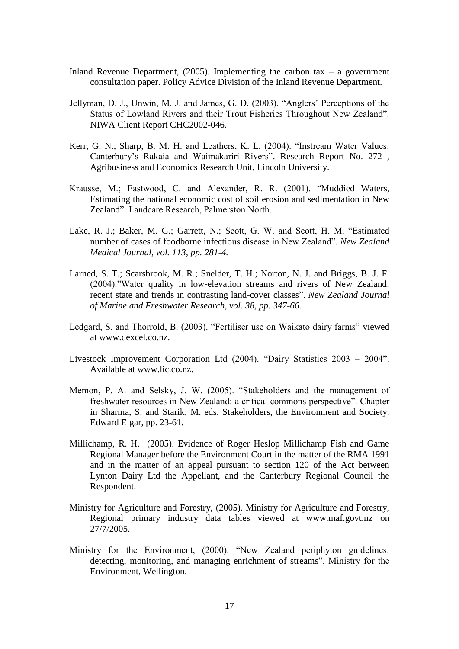- Inland Revenue Department,  $(2005)$ . Implementing the carbon tax a government consultation paper. Policy Advice Division of the Inland Revenue Department.
- Jellyman, D. J., Unwin, M. J. and James, G. D. (2003). "Anglers" Perceptions of the Status of Lowland Rivers and their Trout Fisheries Throughout New Zealand". NIWA Client Report CHC2002-046.
- Kerr, G. N., Sharp, B. M. H. and Leathers, K. L. (2004). "Instream Water Values: Canterbury"s Rakaia and Waimakariri Rivers". Research Report No. 272 , Agribusiness and Economics Research Unit, Lincoln University.
- Krausse, M.; Eastwood, C. and Alexander, R. R. (2001). "Muddied Waters, Estimating the national economic cost of soil erosion and sedimentation in New Zealand". Landcare Research, Palmerston North.
- Lake, R. J.; Baker, M. G.; Garrett, N.; Scott, G. W. and Scott, H. M. "Estimated number of cases of foodborne infectious disease in New Zealand". *New Zealand Medical Journal, vol. 113, pp. 281-4.*
- Larned, S. T.; Scarsbrook, M. R.; Snelder, T. H.; Norton, N. J. and Briggs, B. J. F. (2004)."Water quality in low-elevation streams and rivers of New Zealand: recent state and trends in contrasting land-cover classes". *New Zealand Journal of Marine and Freshwater Research, vol. 38, pp. 347-66.*
- Ledgard, S. and Thorrold, B. (2003). "Fertiliser use on Waikato dairy farms" viewed at www.dexcel.co.nz.
- Livestock Improvement Corporation Ltd (2004). "Dairy Statistics 2003 2004". Available at www.lic.co.nz.
- Memon, P. A. and Selsky, J. W. (2005). "Stakeholders and the management of freshwater resources in New Zealand: a critical commons perspective". Chapter in Sharma, S. and Starik, M. eds, Stakeholders, the Environment and Society. Edward Elgar, pp. 23-61.
- Millichamp, R. H. (2005). Evidence of Roger Heslop Millichamp Fish and Game Regional Manager before the Environment Court in the matter of the RMA 1991 and in the matter of an appeal pursuant to section 120 of the Act between Lynton Dairy Ltd the Appellant, and the Canterbury Regional Council the Respondent.
- Ministry for Agriculture and Forestry, (2005). Ministry for Agriculture and Forestry, Regional primary industry data tables viewed at www.maf.govt.nz on 27/7/2005.
- Ministry for the Environment, (2000). "New Zealand periphyton guidelines: detecting, monitoring, and managing enrichment of streams". Ministry for the Environment, Wellington.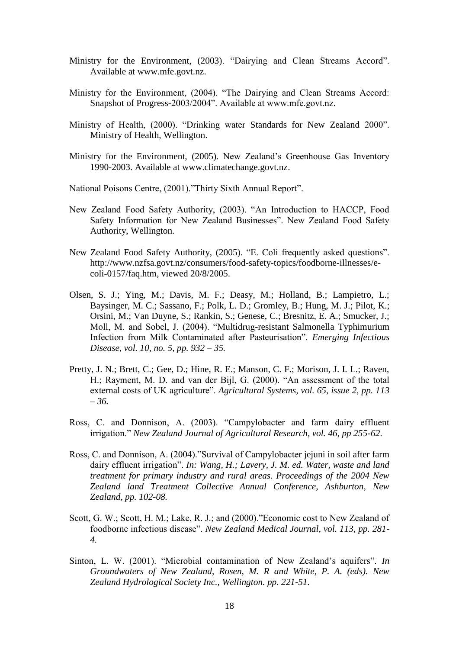- Ministry for the Environment, (2003). "Dairying and Clean Streams Accord". Available at www.mfe.govt.nz.
- Ministry for the Environment, (2004). "The Dairying and Clean Streams Accord: Snapshot of Progress-2003/2004". Available at www.mfe.govt.nz.
- Ministry of Health, (2000). "Drinking water Standards for New Zealand 2000". Ministry of Health, Wellington.
- Ministry for the Environment, (2005). New Zealand"s Greenhouse Gas Inventory 1990-2003. Available at www.climatechange.govt.nz.

National Poisons Centre, (2001)."Thirty Sixth Annual Report".

- New Zealand Food Safety Authority, (2003). "An Introduction to HACCP, Food Safety Information for New Zealand Businesses". New Zealand Food Safety Authority, Wellington.
- New Zealand Food Safety Authority, (2005). "E. Coli frequently asked questions". http://www.nzfsa.govt.nz/consumers/food-safety-topics/foodborne-illnesses/ecoli-0157/faq.htm, viewed 20/8/2005.
- Olsen, S. J.; Ying, M.; Davis, M. F.; Deasy, M.; Holland, B.; Lampietro, L.; Baysinger, M. C.; Sassano, F.; Polk, L. D.; Gromley, B.; Hung, M. J.; Pilot, K.; Orsini, M.; Van Duyne, S.; Rankin, S.; Genese, C.; Bresnitz, E. A.; Smucker, J.; Moll, M. and Sobel, J. (2004). "Multidrug-resistant Salmonella Typhimurium Infection from Milk Contaminated after Pasteurisation". *Emerging Infectious Disease, vol. 10, no. 5, pp. 932 – 35.*
- Pretty, J. N.; Brett, C.; Gee, D.; Hine, R. E.; Manson, C. F.; Morison, J. I. L.; Raven, H.; Rayment, M. D. and van der Bijl, G. (2000). "An assessment of the total external costs of UK agriculture". *Agricultural Systems, vol. 65, issue 2, pp. 113 – 36.*
- Ross, C. and Donnison, A. (2003). "Campylobacter and farm dairy effluent irrigation." *New Zealand Journal of Agricultural Research, vol. 46, pp 255-62*.
- Ross, C. and Donnison, A. (2004)."Survival of Campylobacter jejuni in soil after farm dairy effluent irrigation". *In: Wang, H.; Lavery, J. M. ed. Water, waste and land treatment for primary industry and rural areas. Proceedings of the 2004 New Zealand land Treatment Collective Annual Conference, Ashburton, New Zealand, pp. 102-08.*
- Scott, G. W.; Scott, H. M.; Lake, R. J.; and (2000)."Economic cost to New Zealand of foodborne infectious disease". *New Zealand Medical Journal, vol. 113, pp. 281- 4.*
- Sinton, L. W. (2001). "Microbial contamination of New Zealand's aquifers". In *Groundwaters of New Zealand, Rosen, M. R and White, P. A. (eds). New Zealand Hydrological Society Inc., Wellington. pp. 221-51.*